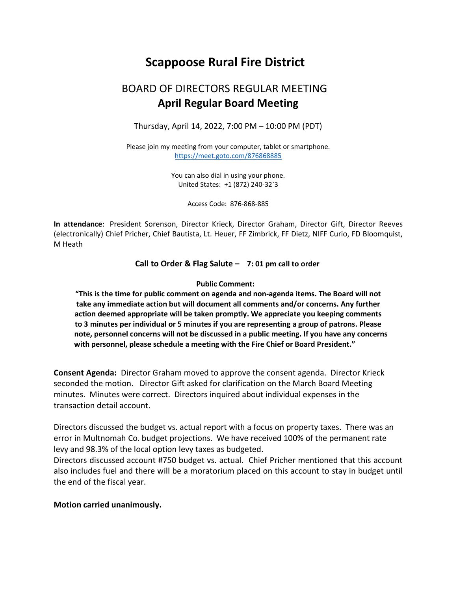# Scappoose Rural Fire District

## BOARD OF DIRECTORS REGULAR MEETING  April Regular Board Meeting

Thursday, April 14, 2022, 7:00 PM – 10:00 PM (PDT)

Please join my meeting from your computer, tablet or smartphone. https://meet.goto.com/876868885

> You can also dial in using your phone. United States: +1 (872) 240-32`3

> > Access Code: 876-868-885

In attendance: President Sorenson, Director Krieck, Director Graham, Director Gift, Director Reeves (electronically) Chief Pricher, Chief Bautista, Lt. Heuer, FF Zimbrick, FF Dietz, NIFF Curio, FD Bloomquist, M Heath

Call to Order & Flag Salute – 7: 01 pm call to order

#### Public Comment:

"This is the time for public comment on agenda and non-agenda items. The Board will not take any immediate action but will document all comments and/or concerns. Any further action deemed appropriate will be taken promptly. We appreciate you keeping comments to 3 minutes per individual or 5 minutes if you are representing a group of patrons. Please note, personnel concerns will not be discussed in a public meeting. If you have any concerns with personnel, please schedule a meeting with the Fire Chief or Board President."

Consent Agenda: Director Graham moved to approve the consent agenda. Director Krieck seconded the motion. Director Gift asked for clarification on the March Board Meeting minutes. Minutes were correct. Directors inquired about individual expenses in the transaction detail account.

Directors discussed the budget vs. actual report with a focus on property taxes. There was an error in Multnomah Co. budget projections. We have received 100% of the permanent rate levy and 98.3% of the local option levy taxes as budgeted.

Directors discussed account #750 budget vs. actual. Chief Pricher mentioned that this account also includes fuel and there will be a moratorium placed on this account to stay in budget until the end of the fiscal year.

#### Motion carried unanimously.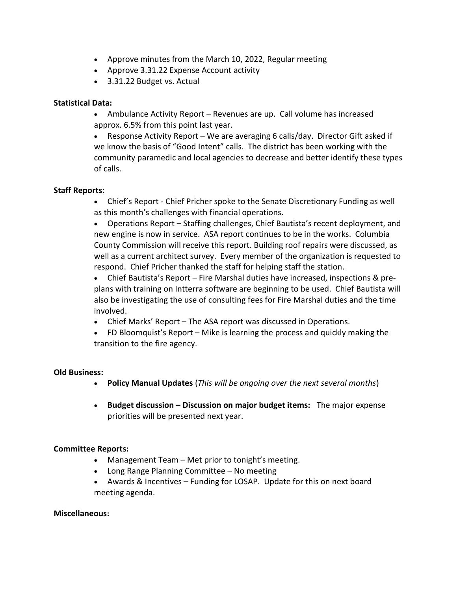- Approve minutes from the March 10, 2022, Regular meeting
- Approve 3.31.22 Expense Account activity
- 3.31.22 Budget vs. Actual

## Statistical Data:

- Ambulance Activity Report Revenues are up. Call volume has increased approx. 6.5% from this point last year.
- Response Activity Report We are averaging 6 calls/day. Director Gift asked if we know the basis of "Good Intent" calls. The district has been working with the community paramedic and local agencies to decrease and better identify these types of calls.

## Staff Reports:

- Chief's Report Chief Pricher spoke to the Senate Discretionary Funding as well as this month's challenges with financial operations.
- Operations Report Staffing challenges, Chief Bautista's recent deployment, and new engine is now in service. ASA report continues to be in the works. Columbia County Commission will receive this report. Building roof repairs were discussed, as well as a current architect survey. Every member of the organization is requested to respond. Chief Pricher thanked the staff for helping staff the station.
- Chief Bautista's Report Fire Marshal duties have increased, inspections & preplans with training on Intterra software are beginning to be used. Chief Bautista will also be investigating the use of consulting fees for Fire Marshal duties and the time involved.
- Chief Marks' Report The ASA report was discussed in Operations.
- FD Bloomquist's Report Mike is learning the process and quickly making the transition to the fire agency.

## Old Business:

- Policy Manual Updates (This will be ongoing over the next several months)
- Budget discussion Discussion on major budget items: The major expense priorities will be presented next year.

## Committee Reports:

- Management Team Met prior to tonight's meeting.
- Long Range Planning Committee No meeting
- Awards & Incentives Funding for LOSAP. Update for this on next board meeting agenda.

#### Miscellaneous: